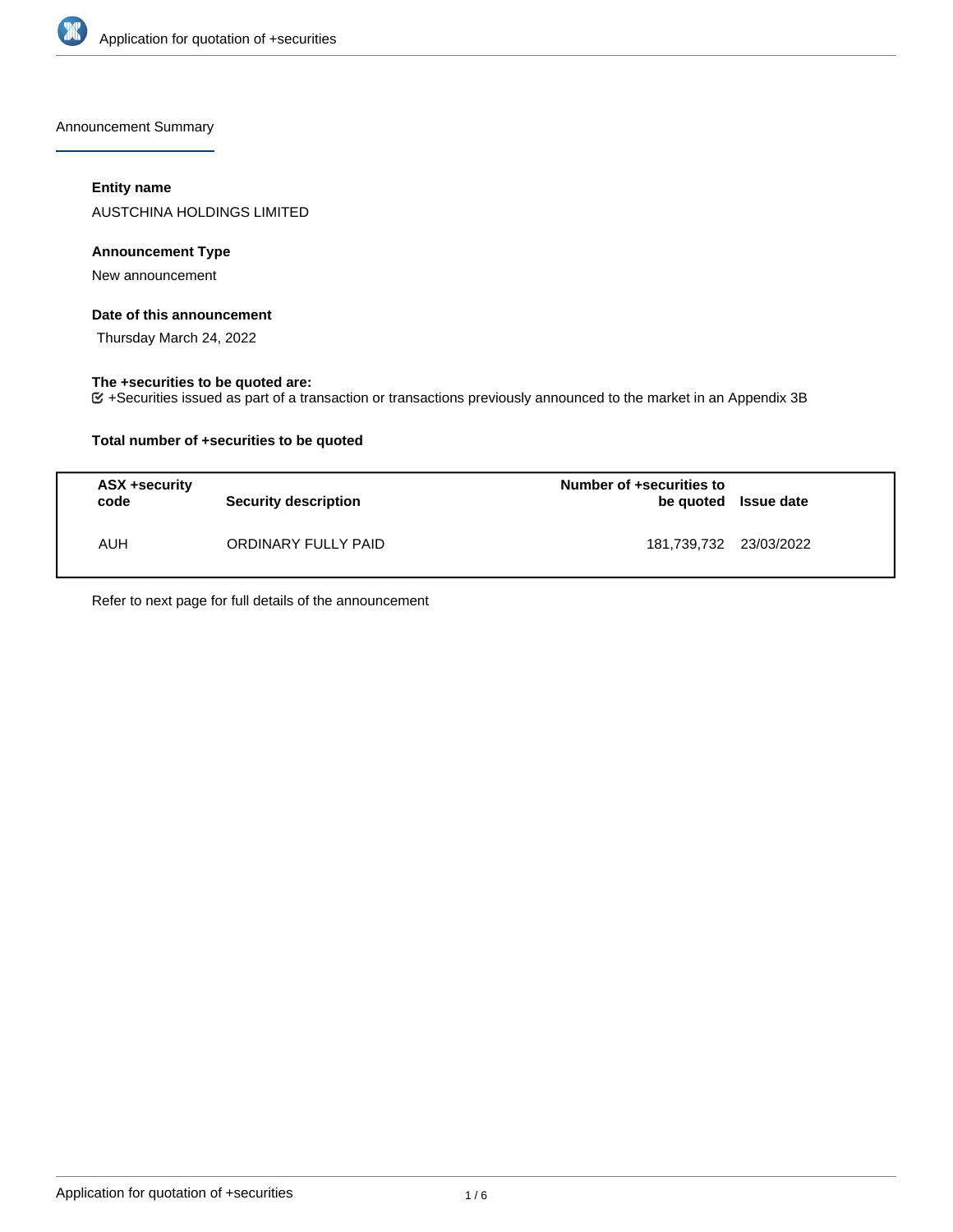

Announcement Summary

## **Entity name**

AUSTCHINA HOLDINGS LIMITED

# **Announcement Type**

New announcement

## **Date of this announcement**

Thursday March 24, 2022

# **The +securities to be quoted are:**

+Securities issued as part of a transaction or transactions previously announced to the market in an Appendix 3B

## **Total number of +securities to be quoted**

| ASX +security<br>code | <b>Security description</b> | Number of +securities to<br>be quoted Issue date |  |
|-----------------------|-----------------------------|--------------------------------------------------|--|
| AUH                   | ORDINARY FULLY PAID         | 181,739,732 23/03/2022                           |  |

Refer to next page for full details of the announcement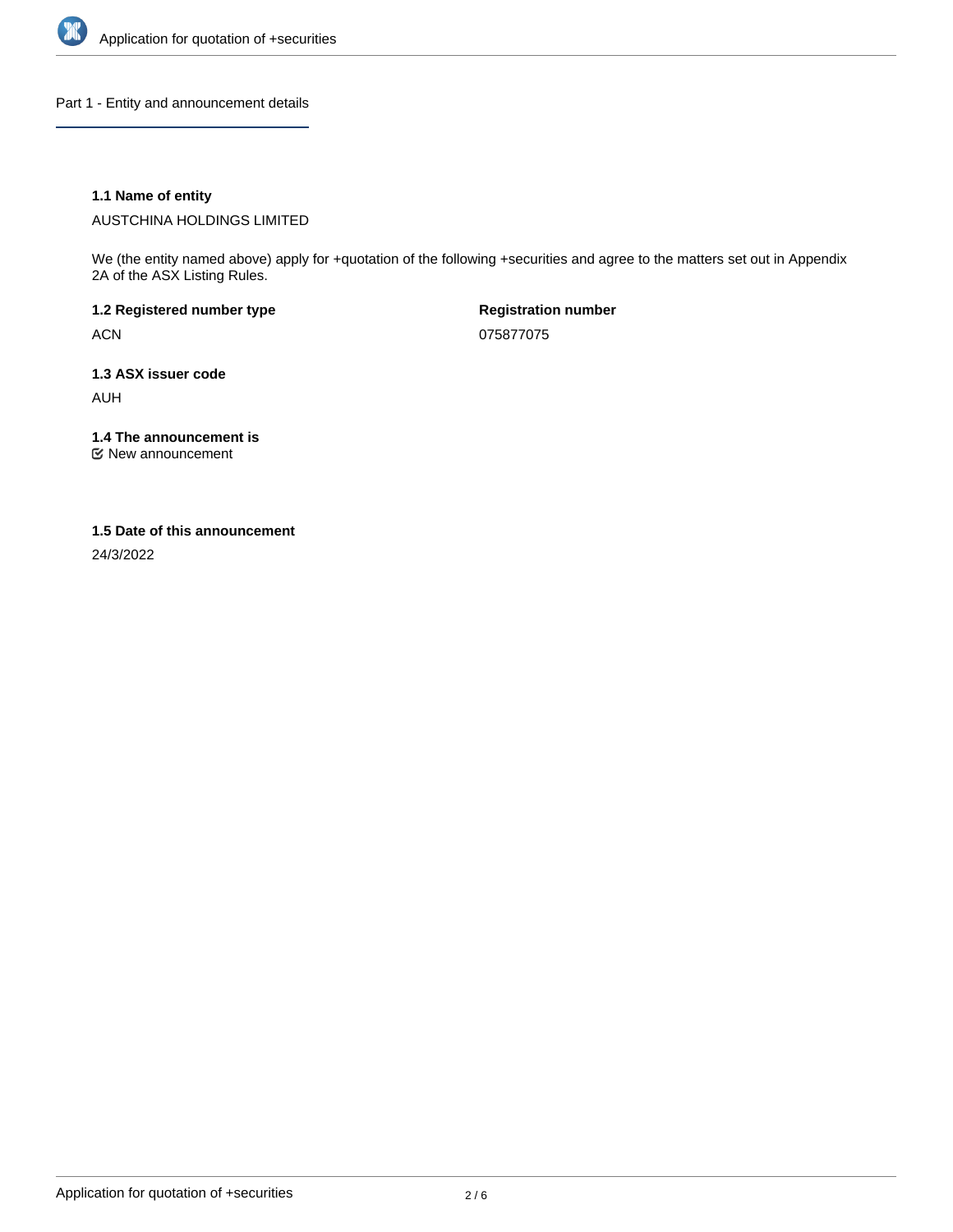

Part 1 - Entity and announcement details

## **1.1 Name of entity**

AUSTCHINA HOLDINGS LIMITED

We (the entity named above) apply for +quotation of the following +securities and agree to the matters set out in Appendix 2A of the ASX Listing Rules.

**1.2 Registered number type** ACN

**Registration number** 075877075

**1.3 ASX issuer code** AUH

**1.4 The announcement is**

New announcement

#### **1.5 Date of this announcement**

24/3/2022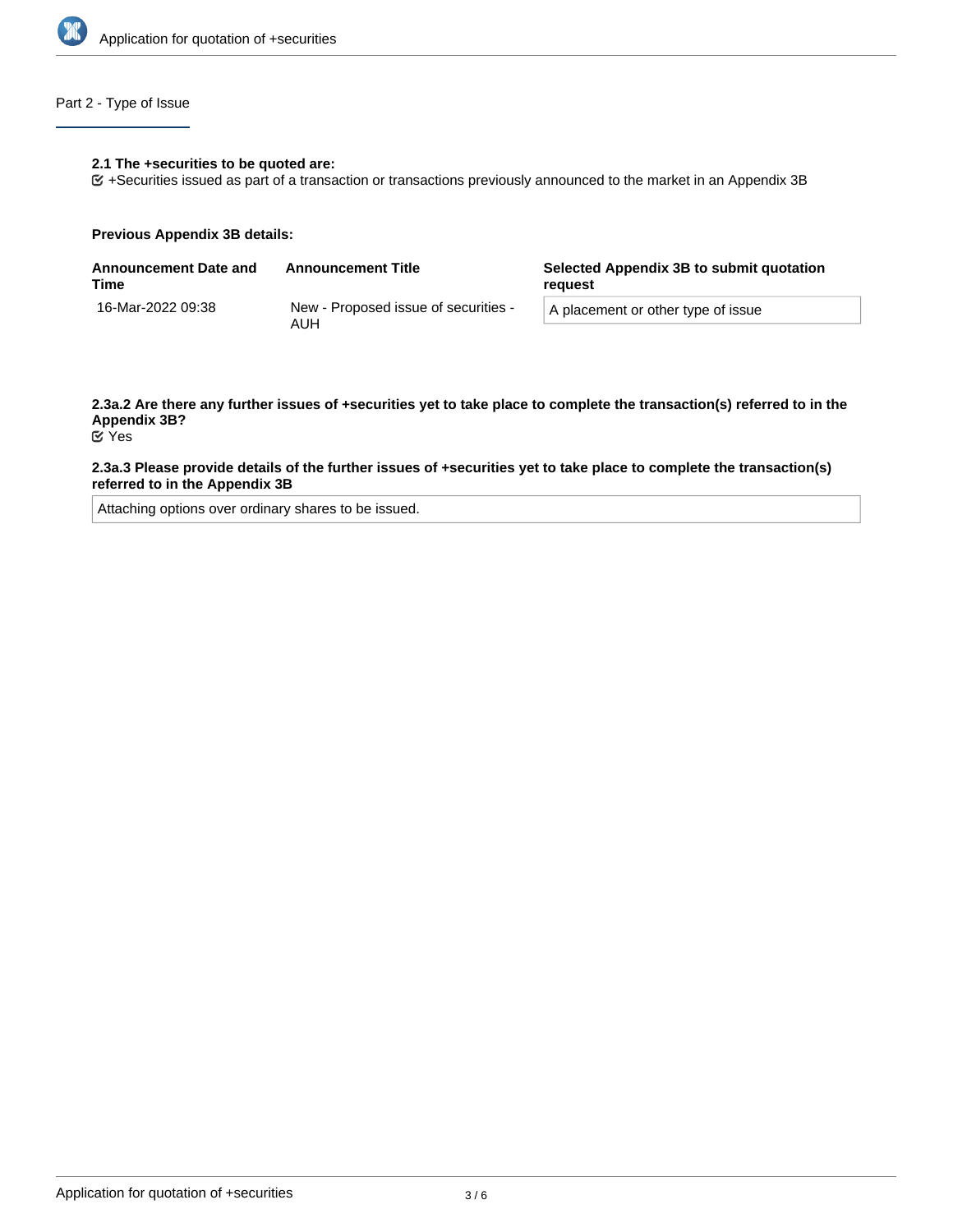

# Part 2 - Type of Issue

#### **2.1 The +securities to be quoted are:**

+Securities issued as part of a transaction or transactions previously announced to the market in an Appendix 3B

#### **Previous Appendix 3B details:**

| <b>Announcement Date and</b><br>Time | <b>Announcement Title</b>                   | Selected Appendix 3B to submit quotation<br>reauest |  |
|--------------------------------------|---------------------------------------------|-----------------------------------------------------|--|
| 16-Mar-2022 09:38                    | New - Proposed issue of securities -<br>AUH | A placement or other type of issue                  |  |

# **2.3a.2 Are there any further issues of +securities yet to take place to complete the transaction(s) referred to in the Appendix 3B?**

# Yes

#### **2.3a.3 Please provide details of the further issues of +securities yet to take place to complete the transaction(s) referred to in the Appendix 3B**

Attaching options over ordinary shares to be issued.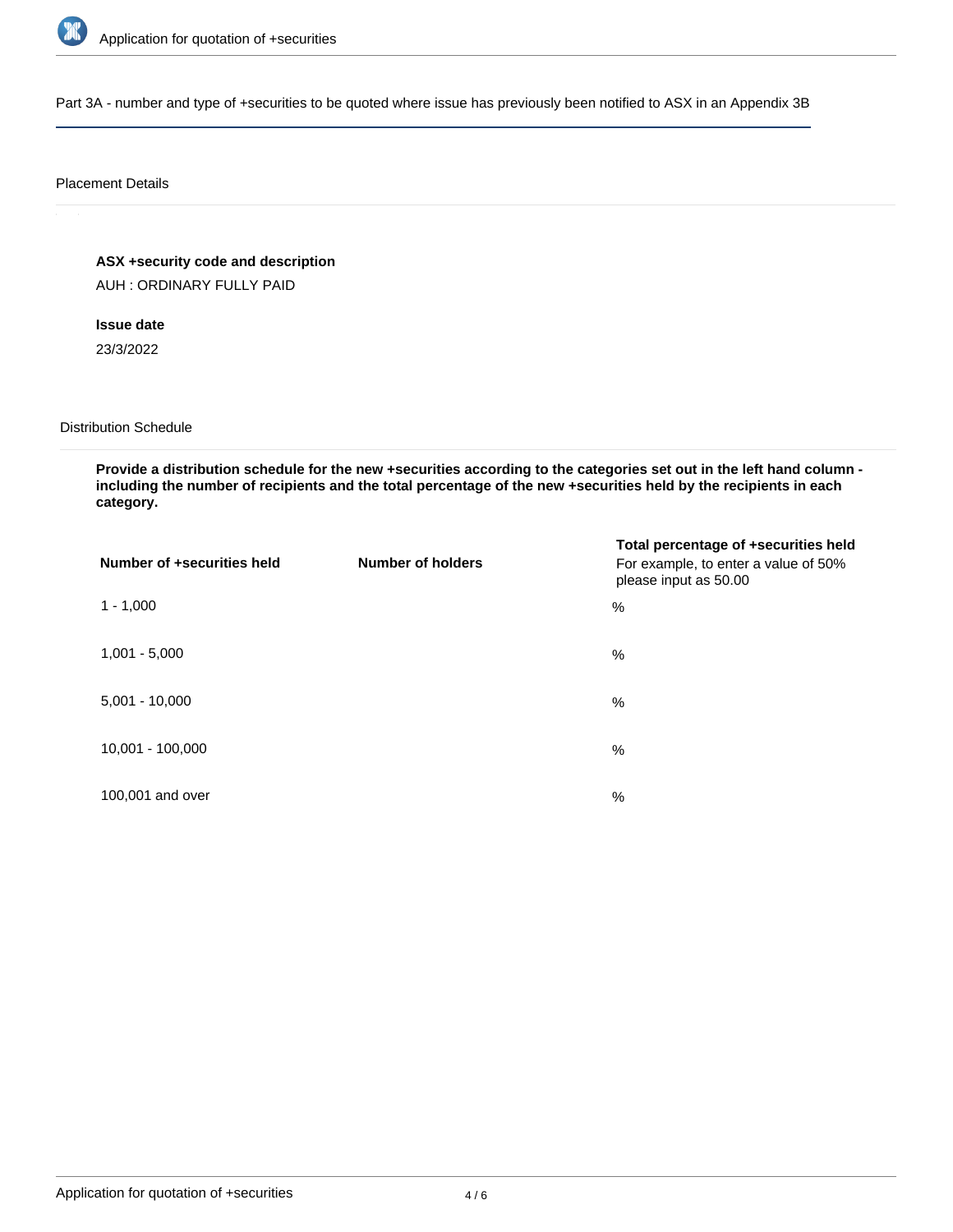

Part 3A - number and type of +securities to be quoted where issue has previously been notified to ASX in an Appendix 3B

#### Placement Details

**ASX +security code and description**

AUH : ORDINARY FULLY PAID

**Issue date**

23/3/2022

Distribution Schedule

**Provide a distribution schedule for the new +securities according to the categories set out in the left hand column including the number of recipients and the total percentage of the new +securities held by the recipients in each category.**

| Number of +securities held | <b>Number of holders</b> | Total percentage of +securities held<br>For example, to enter a value of 50%<br>please input as 50.00 |
|----------------------------|--------------------------|-------------------------------------------------------------------------------------------------------|
| $1 - 1,000$                |                          | %                                                                                                     |
| $1,001 - 5,000$            |                          | $\%$                                                                                                  |
| $5,001 - 10,000$           |                          | %                                                                                                     |
| 10,001 - 100,000           |                          | %                                                                                                     |
| 100,001 and over           |                          | %                                                                                                     |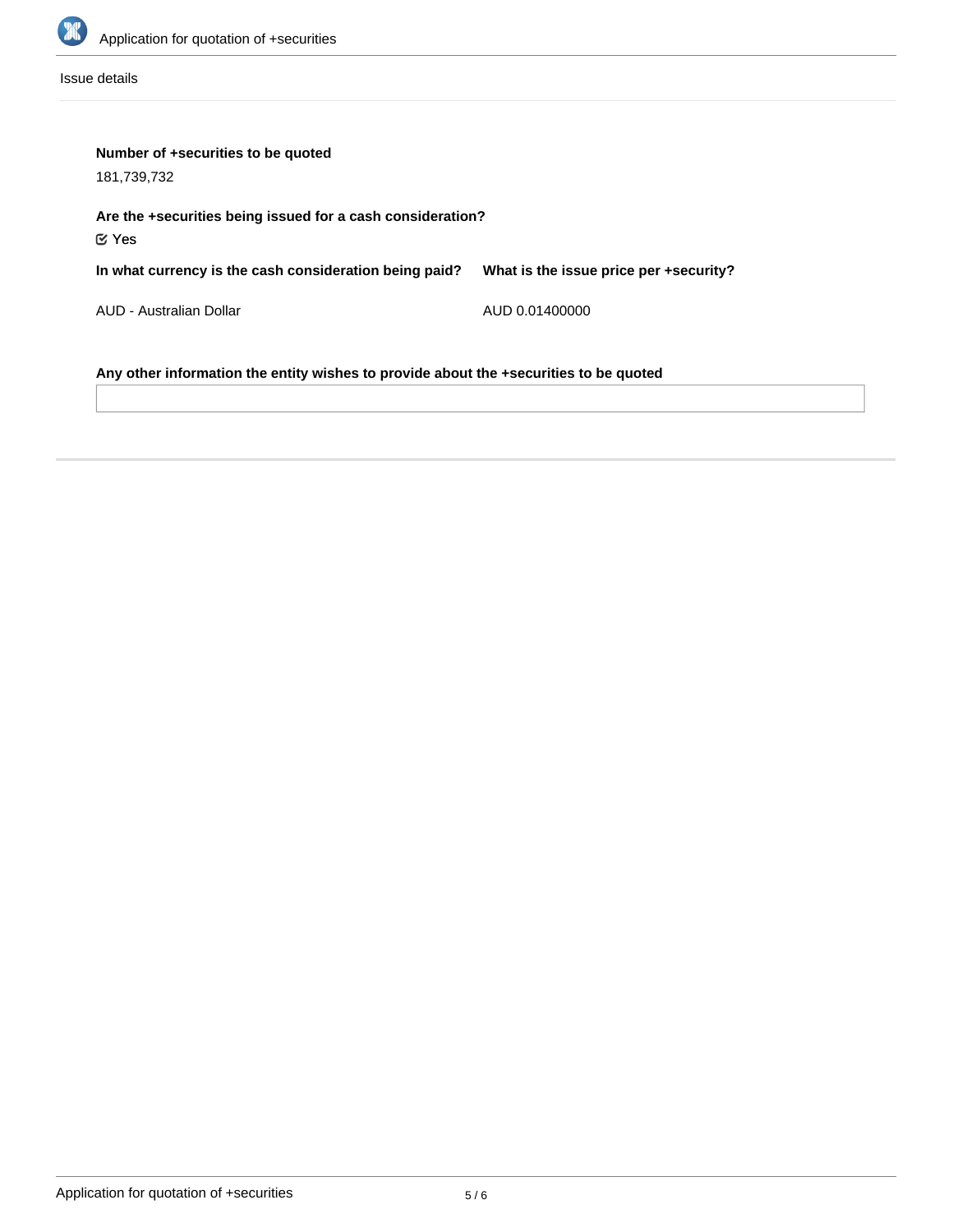

Issue details

| Number of +securities to be quoted<br>181,739,732                                     |                                        |  |  |  |
|---------------------------------------------------------------------------------------|----------------------------------------|--|--|--|
| Are the +securities being issued for a cash consideration?<br>$\mathfrak{C}$ Yes      |                                        |  |  |  |
| In what currency is the cash consideration being paid?                                | What is the issue price per +security? |  |  |  |
| AUD - Australian Dollar                                                               | AUD 0.01400000                         |  |  |  |
| Any other information the entity wishes to provide about the +securities to be quoted |                                        |  |  |  |